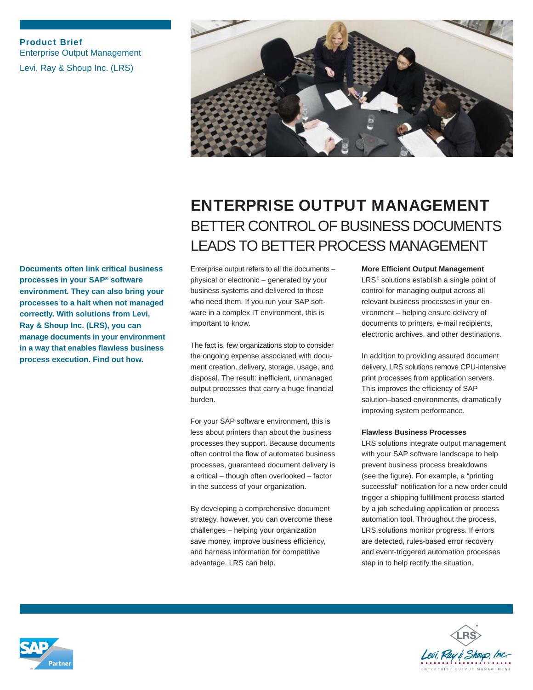Product Brief Enterprise Output Management Levi, Ray & Shoup Inc. (LRS)



## **Documents often link critical business processes in your SAP® software environment. They can also bring your processes to a halt when not managed correctly. With solutions from Levi, Ray & Shoup Inc. (LRS), you can manage documents in your environment in a way that enables flawless business process execution. Find out how.**

# ENTERPRISE OUTPUT MANAGEMENT BETTER CONTROL OF BUSINESS DOCUMENTS LEADS TO BETTER PROCESS MANAGEMENT

Enterprise output refers to all the documents – physical or electronic – generated by your business systems and delivered to those who need them. If you run your SAP software in a complex IT environment, this is important to know.

The fact is, few organizations stop to consider the ongoing expense associated with document creation, delivery, storage, usage, and disposal. The result: inefficient, unmanaged output processes that carry a huge financial burden.

For your SAP software environment, this is less about printers than about the business processes they support. Because documents often control the flow of automated business processes, guaranteed document delivery is a critical – though often overlooked – factor in the success of your organization.

By developing a comprehensive document strategy, however, you can overcome these challenges – helping your organization save money, improve business efficiency, and harness information for competitive advantage. LRS can help.

**More Efficient Output Management** LRS® solutions establish a single point of

control for managing output across all relevant business processes in your environment – helping ensure delivery of documents to printers, e-mail recipients, electronic archives, and other destinations.

In addition to providing assured document delivery, LRS solutions remove CPU-intensive print processes from application servers. This improves the efficiency of SAP solution–based environments, dramatically improving system performance.

### **Flawless Business Processes**

LRS solutions integrate output management with your SAP software landscape to help prevent business process breakdowns (see the figure). For example, a "printing successful" notification for a new order could trigger a shipping fulfillment process started by a job scheduling application or process automation tool. Throughout the process, LRS solutions monitor progress. If errors are detected, rules-based error recovery and event-triggered automation processes step in to help rectify the situation.